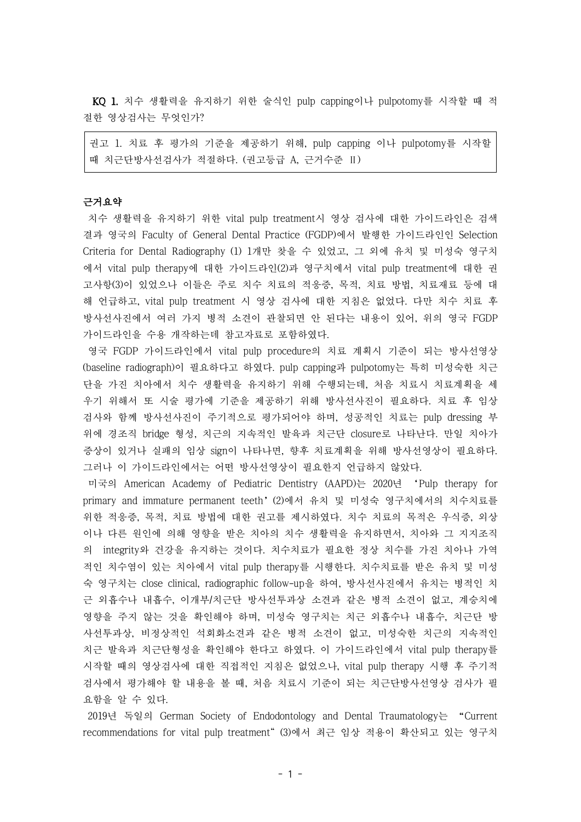KQ 1. 치수 생활력을 유지하기 위한 술식인 pulp capping이나 pulpotomy를 시작할 때 적 절한 영상검사는 무엇인가?

권고 1. 치료 후 평가의 기준을 제공하기 위해, pulp capping 이나 pulpotomy를 시작할 때 치근단방사선검사가 적절하다. (권고등급 A, 근거수준 Ⅱ)

# 근거요약

치수 생활력을 유지하기 위한 vital pulp treatment시 영상 검사에 대한 가이드라인은 검색 결과 영국의 Faculty of General Dental Practice (FGDP)에서 발행한 가이드라인인 Selection Criteria for Dental Radiography (1) 1개만 찾을 수 있었고, 그 외에 유치 및 미성숙 영구치 에서 vital pulp therapy에 대한 가이드라인(2)과 영구치에서 vital pulp treatment에 대한 권 고사항(3)이 있었으나 이들은 주로 치수 치료의 적응증, 목적, 치료 방법, 치료재료 등에 대 해 언급하고, vital pulp treatment 시 영상 검사에 대한 지침은 없었다. 다만 치수 치료 후 방사선사진에서 여러 가지 병적 소견이 관찰되면 안 된다는 내용이 있어, 위의 영국 FGDP 가이드라인을 수용 개작하는데 참고자료로 포함하였다.

영국 FGDP 가이드라인에서 vital pulp procedure의 치료 계획시 기준이 되는 방사선영상 (baseline radiograph)이 필요하다고 하였다. pulp capping과 pulpotomy는 특히 미성숙한 치근 단을 가진 치아에서 치수 생활력을 유지하기 위해 수행되는데, 처음 치료시 치료계획을 세 우기 위해서 또 시술 평가에 기준을 제공하기 위해 방사선사진이 필요하다. 치료 후 임상 검사와 함께 방사선사진이 주기적으로 평가되어야 하며, 성공적인 치료는 pulp dressing 부 위에 경조직 bridge 형성, 치근의 지속적인 발육과 치근단 closure로 나타난다. 만일 치아가 증상이 있거나 실패의 임상 sign이 나타나면, 향후 치료계획을 위해 방사선영상이 필요하다. 그러나 이 가이드라인에서는 어떤 방사선영상이 필요한지 언급하지 않았다.

미국의 American Academy of Pediatric Dentistry (AAPD)는 2020년 'Pulp therapy for primary and immature permanent teeth'(2)에서 유치 및 미성숙 영구치에서의 치수치료를 위한 적응증, 목적, 치료 방법에 대한 권고를 제시하였다. 치수 치료의 목적은 우식증, 외상 이나 다른 원인에 의해 영향을 받은 치아의 치수 생활력을 유지하면서, 치아와 그 지지조직 의 integrity와 건강을 유지하는 것이다. 치수치료가 필요한 정상 치수를 가진 치아나 가역 적인 치수염이 있는 치아에서 vital pulp therapy를 시행한다. 치수치료를 받은 유치 및 미성 숙 영구치는 close clinical, radiographic follow-up을 하여, 방사선사진에서 유치는 병적인 치 근 외흡수나 내흡수, 이개부/치근단 방사선투과상 소견과 같은 병적 소견이 없고, 계승치에 영향을 주지 않는 것을 확인해야 하며, 미성숙 영구치는 치근 외흡수나 내흡수, 치근단 방 사선투과상, 비정상적인 석회화소견과 같은 병적 소견이 없고, 미성숙한 치근의 지속적인 치근 발육과 치근단형성을 확인해야 한다고 하였다. 이 가이드라인에서 vital pulp therapy를 시작할 때의 영상검사에 대한 직접적인 지침은 없었으나, vital pulp therapy 시행 후 주기적 검사에서 평가해야 할 내용을 볼 때, 처음 치료시 기준이 되는 치근단방사선영상 검사가 필 요함을 알 수 있다.

2019년 독일의 German Society of Endodontology and Dental Traumatology는 "Current recommendations for vital pulp treatment" (3)에서 최근 임상 적용이 확산되고 있는 영구치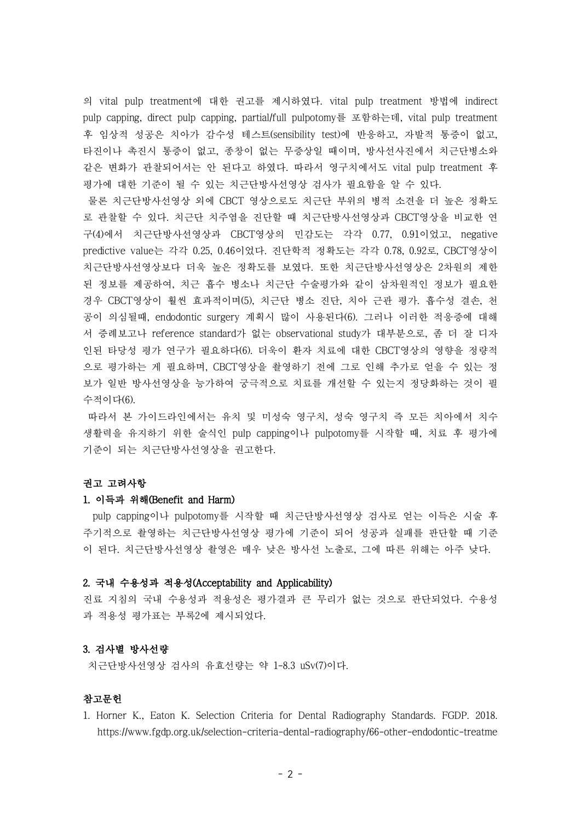의 vital pulp treatment에 대한 권고를 제시하였다. vital pulp treatment 방법에 indirect pulp capping, direct pulp capping, partial/full pulpotomy를 포함하는데, vital pulp treatment 후 임상적 성공은 치아가 감수성 테스트(sensibility test)에 반응하고, 자발적 통증이 없고, 타진이나 촉진시 통증이 없고, 종창이 없는 무증상일 때이며, 방사선사진에서 치근단병소와 같은 변화가 관찰되어서는 안 된다고 하였다. 따라서 영구치에서도 vital pulp treatment 후 평가에 대한 기준이 될 수 있는 치근단방사선영상 검사가 필요함을 알 수 있다.

물론 치근단방사선영상 외에 CBCT 영상으로도 치근단 부위의 병적 소견을 더 높은 정확도 로 관찰할 수 있다. 치근단 치주염을 진단할 때 치근단방사선영상과 CBCT영상을 비교한 연 구(4)에서 치근단방사선영상과 CBCT영상의 민감도는 각각 0.77, 0.91이었고, negative predictive value는 각각 0.25, 0.46이었다. 진단학적 정확도는 각각 0.78, 0.92로, CBCT영상이 치근단방사선영상보다 더욱 높은 정확도를 보였다. 또한 치근단방사선영상은 2차원의 제한 된 정보를 제공하여, 치근 흡수 병소나 치근단 수술평가와 같이 삼차원적인 정보가 필요한 경우 CBCT영상이 훨씬 효과적이며(5), 치근단 병소 진단, 치아 근관 평가. 흡수성 결손, 천 공이 의심될때, endodontic surgery 계획시 많이 사용된다(6). 그러나 이러한 적응증에 대해 서 증례보고나 reference standard가 없는 observational study가 대부분으로, 좀 더 잘 디자 인된 타당성 평가 연구가 필요하다(6). 더욱이 환자 치료에 대한 CBCT영상의 영향을 정량적 으로 평가하는 게 필요하며, CBCT영상을 촬영하기 전에 그로 인해 추가로 얻을 수 있는 정 보가 일반 방사선영상을 능가하여 궁극적으로 치료를 개선할 수 있는지 정당화하는 것이 필 수적이다(6).

따라서 본 가이드라인에서는 유치 및 미성숙 영구치, 성숙 영구치 즉 모든 치아에서 치수 생활력을 유지하기 위한 술식인 pulp capping이나 pulpotomy를 시작할 때, 치료 후 평가에 기준이 되는 치근단방사선영상을 권고한다.

# 권고 고려사항

# 1. 이득과 위해(Benefit and Harm)

pulp capping이나 pulpotomy를 시작할 때 치근단방사선영상 검사로 얻는 이득은 시술 후 주기적으로 촬영하는 치근단방사선영상 평가에 기준이 되어 성공과 실패를 판단할 때 기준 이 된다. 치근단방사선영상 촬영은 매우 낮은 방사선 노출로, 그에 따른 위해는 아주 낮다.

# 2. 국내 수용성과 적용성(Acceptability and Applicability)

진료 지침의 국내 수용성과 적용성은 평가결과 큰 무리가 없는 것으로 판단되었다. 수용성 과 적용성 평가표는 부록2에 제시되었다.

#### 3. 검사별 방사선량

치근단방사선영상 검사의 유효선량는 약 1-8.3 uSv(7)이다.

## 참고문헌

1. Horner K., Eaton K. Selection Criteria for Dental Radiography Standards. FGDP. 2018. https://www.fgdp.org.uk/selection-criteria-dental-radiography/66-other-endodontic-treatme